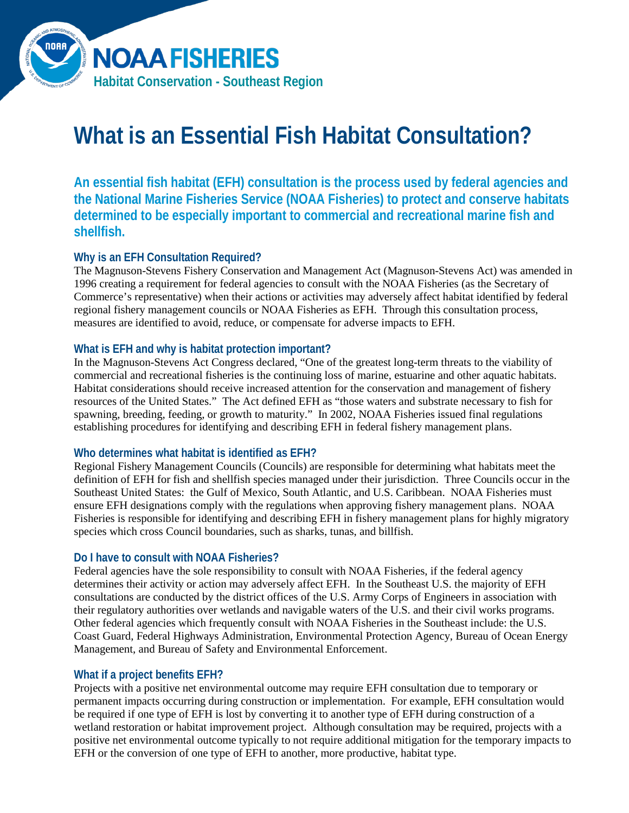

# **What is an Essential Fish Habitat Consultation?**

**An essential fish habitat (EFH) consultation is the process used by federal agencies and the National Marine Fisheries Service (NOAA Fisheries) to protect and conserve habitats determined to be especially important to commercial and recreational marine fish and shellfish.**

# **Why is an EFH Consultation Required?**

The Magnuson-Stevens Fishery Conservation and Management Act (Magnuson-Stevens Act) was amended in 1996 creating a requirement for federal agencies to consult with the NOAA Fisheries (as the Secretary of Commerce's representative) when their actions or activities may adversely affect habitat identified by federal regional fishery management councils or NOAA Fisheries as EFH. Through this consultation process, measures are identified to avoid, reduce, or compensate for adverse impacts to EFH.

# **What is EFH and why is habitat protection important?**

In the Magnuson-Stevens Act Congress declared, "One of the greatest long-term threats to the viability of commercial and recreational fisheries is the continuing loss of marine, estuarine and other aquatic habitats. Habitat considerations should receive increased attention for the conservation and management of fishery resources of the United States." The Act defined EFH as "those waters and substrate necessary to fish for spawning, breeding, feeding, or growth to maturity." In 2002, NOAA Fisheries issued final regulations establishing procedures for identifying and describing EFH in federal fishery management plans.

# **Who determines what habitat is identified as EFH?**

Regional Fishery Management Councils (Councils) are responsible for determining what habitats meet the definition of EFH for fish and shellfish species managed under their jurisdiction. Three Councils occur in the Southeast United States: the Gulf of Mexico, South Atlantic, and U.S. Caribbean. NOAA Fisheries must ensure EFH designations comply with the regulations when approving fishery management plans. NOAA Fisheries is responsible for identifying and describing EFH in fishery management plans for highly migratory species which cross Council boundaries, such as sharks, tunas, and billfish.

# **Do I have to consult with NOAA Fisheries?**

Federal agencies have the sole responsibility to consult with NOAA Fisheries, if the federal agency determines their activity or action may adversely affect EFH. In the Southeast U.S. the majority of EFH consultations are conducted by the district offices of the U.S. Army Corps of Engineers in association with their regulatory authorities over wetlands and navigable waters of the U.S. and their civil works programs. Other federal agencies which frequently consult with NOAA Fisheries in the Southeast include: the U.S. Coast Guard, Federal Highways Administration, Environmental Protection Agency, Bureau of Ocean Energy Management, and Bureau of Safety and Environmental Enforcement.

# **What if a project benefits EFH?**

Projects with a positive net environmental outcome may require EFH consultation due to temporary or permanent impacts occurring during construction or implementation. For example, EFH consultation would be required if one type of EFH is lost by converting it to another type of EFH during construction of a wetland restoration or habitat improvement project. Although consultation may be required, projects with a positive net environmental outcome typically to not require additional mitigation for the temporary impacts to EFH or the conversion of one type of EFH to another, more productive, habitat type.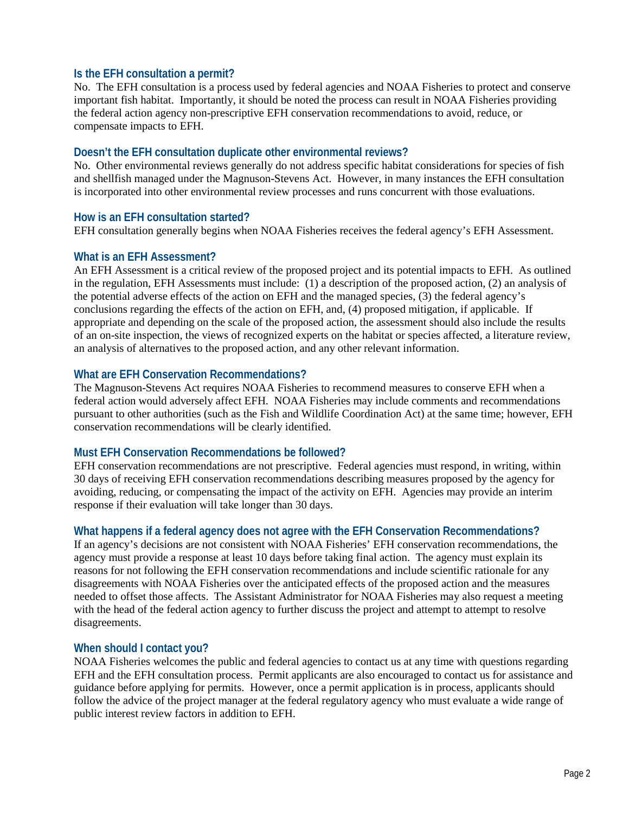## **Is the EFH consultation a permit?**

No. The EFH consultation is a process used by federal agencies and NOAA Fisheries to protect and conserve important fish habitat. Importantly, it should be noted the process can result in NOAA Fisheries providing the federal action agency non-prescriptive EFH conservation recommendations to avoid, reduce, or compensate impacts to EFH.

### **Doesn't the EFH consultation duplicate other environmental reviews?**

No. Other environmental reviews generally do not address specific habitat considerations for species of fish and shellfish managed under the Magnuson-Stevens Act. However, in many instances the EFH consultation is incorporated into other environmental review processes and runs concurrent with those evaluations.

## **How is an EFH consultation started?**

EFH consultation generally begins when NOAA Fisheries receives the federal agency's EFH Assessment.

#### **What is an EFH Assessment?**

An EFH Assessment is a critical review of the proposed project and its potential impacts to EFH. As outlined in the regulation, EFH Assessments must include: (1) a description of the proposed action, (2) an analysis of the potential adverse effects of the action on EFH and the managed species, (3) the federal agency's conclusions regarding the effects of the action on EFH, and, (4) proposed mitigation, if applicable. If appropriate and depending on the scale of the proposed action, the assessment should also include the results of an on-site inspection, the views of recognized experts on the habitat or species affected, a literature review, an analysis of alternatives to the proposed action, and any other relevant information.

## **What are EFH Conservation Recommendations?**

The Magnuson-Stevens Act requires NOAA Fisheries to recommend measures to conserve EFH when a federal action would adversely affect EFH. NOAA Fisheries may include comments and recommendations pursuant to other authorities (such as the Fish and Wildlife Coordination Act) at the same time; however, EFH conservation recommendations will be clearly identified.

# **Must EFH Conservation Recommendations be followed?**

EFH conservation recommendations are not prescriptive. Federal agencies must respond, in writing, within 30 days of receiving EFH conservation recommendations describing measures proposed by the agency for avoiding, reducing, or compensating the impact of the activity on EFH. Agencies may provide an interim response if their evaluation will take longer than 30 days.

# **What happens if a federal agency does not agree with the EFH Conservation Recommendations?**

If an agency's decisions are not consistent with NOAA Fisheries' EFH conservation recommendations, the agency must provide a response at least 10 days before taking final action. The agency must explain its reasons for not following the EFH conservation recommendations and include scientific rationale for any disagreements with NOAA Fisheries over the anticipated effects of the proposed action and the measures needed to offset those affects. The Assistant Administrator for NOAA Fisheries may also request a meeting with the head of the federal action agency to further discuss the project and attempt to attempt to resolve disagreements.

#### **When should I contact you?**

NOAA Fisheries welcomes the public and federal agencies to contact us at any time with questions regarding EFH and the EFH consultation process. Permit applicants are also encouraged to contact us for assistance and guidance before applying for permits. However, once a permit application is in process, applicants should follow the advice of the project manager at the federal regulatory agency who must evaluate a wide range of public interest review factors in addition to EFH.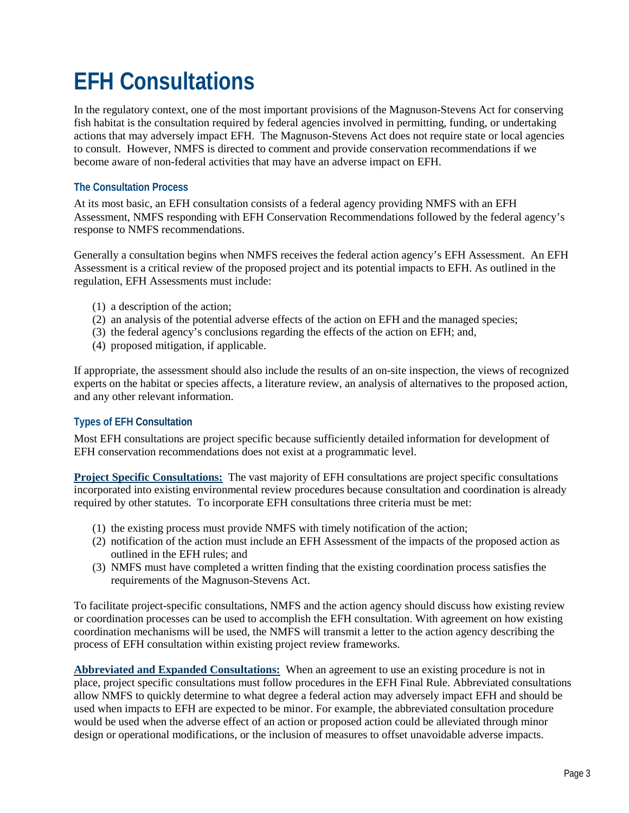# **EFH Consultations**

In the regulatory context, one of the most important provisions of the Magnuson-Stevens Act for conserving fish habitat is the consultation required by federal agencies involved in permitting, funding, or undertaking actions that may adversely impact EFH. The Magnuson-Stevens Act does not require state or local agencies to consult. However, NMFS is directed to comment and provide conservation recommendations if we become aware of non-federal activities that may have an adverse impact on EFH.

## **The Consultation Process**

At its most basic, an EFH consultation consists of a federal agency providing NMFS with an EFH Assessment, NMFS responding with EFH Conservation Recommendations followed by the federal agency's response to NMFS recommendations.

Generally a consultation begins when NMFS receives the federal action agency's EFH Assessment. An EFH Assessment is a critical review of the proposed project and its potential impacts to EFH. As outlined in the regulation, EFH Assessments must include:

- (1) a description of the action;
- (2) an analysis of the potential adverse effects of the action on EFH and the managed species;
- (3) the federal agency's conclusions regarding the effects of the action on EFH; and,
- (4) proposed mitigation, if applicable.

If appropriate, the assessment should also include the results of an on-site inspection, the views of recognized experts on the habitat or species affects, a literature review, an analysis of alternatives to the proposed action, and any other relevant information.

#### **Types of EFH Consultation**

Most EFH consultations are project specific because sufficiently detailed information for development of EFH conservation recommendations does not exist at a programmatic level.

**Project Specific Consultations:** The vast majority of EFH consultations are project specific consultations incorporated into existing environmental review procedures because consultation and coordination is already required by other statutes. To incorporate EFH consultations three criteria must be met:

- (1) the existing process must provide NMFS with timely notification of the action;
- (2) notification of the action must include an EFH Assessment of the impacts of the proposed action as outlined in the EFH rules; and
- (3) NMFS must have completed a written finding that the existing coordination process satisfies the requirements of the Magnuson-Stevens Act.

To facilitate project-specific consultations, NMFS and the action agency should discuss how existing review or coordination processes can be used to accomplish the EFH consultation. With agreement on how existing coordination mechanisms will be used, the NMFS will transmit a letter to the action agency describing the process of EFH consultation within existing project review frameworks.

**Abbreviated and Expanded Consultations:** When an agreement to use an existing procedure is not in place, project specific consultations must follow procedures in the EFH Final Rule. Abbreviated consultations allow NMFS to quickly determine to what degree a federal action may adversely impact EFH and should be used when impacts to EFH are expected to be minor. For example, the abbreviated consultation procedure would be used when the adverse effect of an action or proposed action could be alleviated through minor design or operational modifications, or the inclusion of measures to offset unavoidable adverse impacts.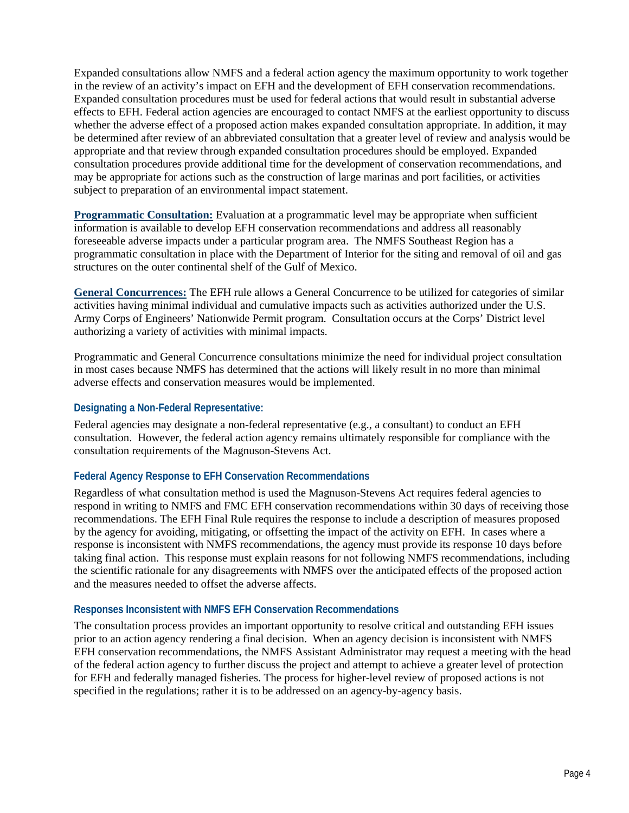Expanded consultations allow NMFS and a federal action agency the maximum opportunity to work together in the review of an activity's impact on EFH and the development of EFH conservation recommendations. Expanded consultation procedures must be used for federal actions that would result in substantial adverse effects to EFH. Federal action agencies are encouraged to contact NMFS at the earliest opportunity to discuss whether the adverse effect of a proposed action makes expanded consultation appropriate. In addition, it may be determined after review of an abbreviated consultation that a greater level of review and analysis would be appropriate and that review through expanded consultation procedures should be employed. Expanded consultation procedures provide additional time for the development of conservation recommendations, and may be appropriate for actions such as the construction of large marinas and port facilities, or activities subject to preparation of an environmental impact statement.

**Programmatic Consultation:** Evaluation at a programmatic level may be appropriate when sufficient information is available to develop EFH conservation recommendations and address all reasonably foreseeable adverse impacts under a particular program area. The NMFS Southeast Region has a programmatic consultation in place with the Department of Interior for the siting and removal of oil and gas structures on the outer continental shelf of the Gulf of Mexico.

**General Concurrences:** The EFH rule allows a General Concurrence to be utilized for categories of similar activities having minimal individual and cumulative impacts such as activities authorized under the U.S. Army Corps of Engineers' Nationwide Permit program. Consultation occurs at the Corps' District level authorizing a variety of activities with minimal impacts.

Programmatic and General Concurrence consultations minimize the need for individual project consultation in most cases because NMFS has determined that the actions will likely result in no more than minimal adverse effects and conservation measures would be implemented.

#### **Designating a Non-Federal Representative:**

Federal agencies may designate a non-federal representative (e.g., a consultant) to conduct an EFH consultation. However, the federal action agency remains ultimately responsible for compliance with the consultation requirements of the Magnuson-Stevens Act.

# **Federal Agency Response to EFH Conservation Recommendations**

Regardless of what consultation method is used the Magnuson-Stevens Act requires federal agencies to respond in writing to NMFS and FMC EFH conservation recommendations within 30 days of receiving those recommendations. The EFH Final Rule requires the response to include a description of measures proposed by the agency for avoiding, mitigating, or offsetting the impact of the activity on EFH. In cases where a response is inconsistent with NMFS recommendations, the agency must provide its response 10 days before taking final action. This response must explain reasons for not following NMFS recommendations, including the scientific rationale for any disagreements with NMFS over the anticipated effects of the proposed action and the measures needed to offset the adverse affects.

#### **Responses Inconsistent with NMFS EFH Conservation Recommendations**

The consultation process provides an important opportunity to resolve critical and outstanding EFH issues prior to an action agency rendering a final decision. When an agency decision is inconsistent with NMFS EFH conservation recommendations, the NMFS Assistant Administrator may request a meeting with the head of the federal action agency to further discuss the project and attempt to achieve a greater level of protection for EFH and federally managed fisheries. The process for higher-level review of proposed actions is not specified in the regulations; rather it is to be addressed on an agency-by-agency basis.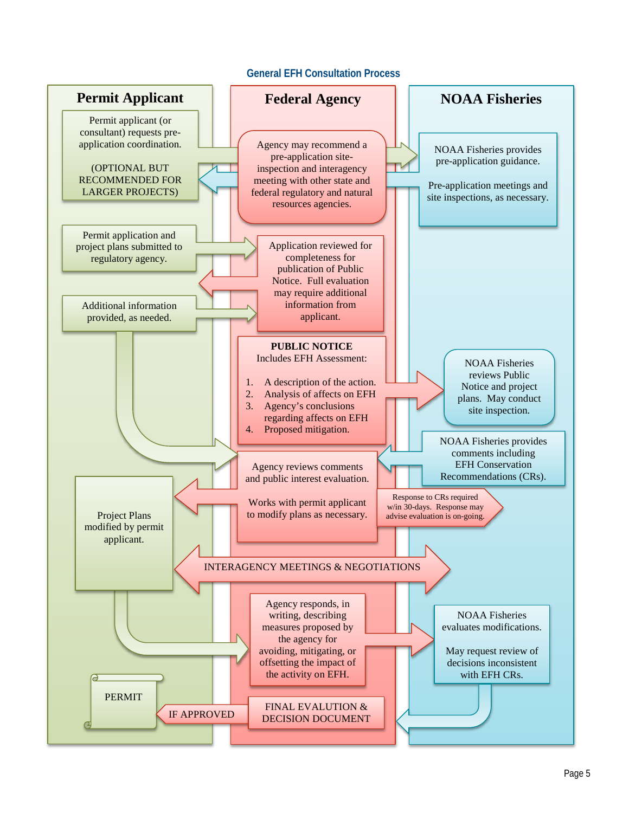